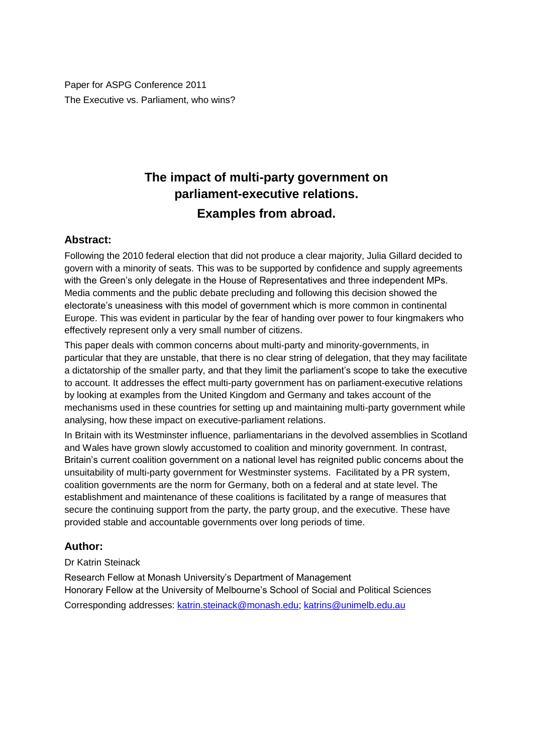Paper for ASPG Conference 2011 The Executive vs. Parliament, who wins?

# **The impact of multi-party government on parliament-executive relations. Examples from abroad.**

### **Abstract:**

Following the 2010 federal election that did not produce a clear majority, Julia Gillard decided to govern with a minority of seats. This was to be supported by confidence and supply agreements with the Green"s only delegate in the House of Representatives and three independent MPs. Media comments and the public debate precluding and following this decision showed the electorate"s uneasiness with this model of government which is more common in continental Europe. This was evident in particular by the fear of handing over power to four kingmakers who effectively represent only a very small number of citizens.

This paper deals with common concerns about multi-party and minority-governments, in particular that they are unstable, that there is no clear string of delegation, that they may facilitate a dictatorship of the smaller party, and that they limit the parliament's scope to take the executive to account. It addresses the effect multi-party government has on parliament-executive relations by looking at examples from the United Kingdom and Germany and takes account of the mechanisms used in these countries for setting up and maintaining multi-party government while analysing, how these impact on executive-parliament relations.

In Britain with its Westminster influence, parliamentarians in the devolved assemblies in Scotland and Wales have grown slowly accustomed to coalition and minority government. In contrast, Britain"s current coalition government on a national level has reignited public concerns about the unsuitability of multi-party government for Westminster systems. Facilitated by a PR system, coalition governments are the norm for Germany, both on a federal and at state level. The establishment and maintenance of these coalitions is facilitated by a range of measures that secure the continuing support from the party, the party group, and the executive. These have provided stable and accountable governments over long periods of time.

### **Author:**

Dr Katrin Steinack

Research Fellow at Monash University"s Department of Management Honorary Fellow at the University of Melbourne"s School of Social and Political Sciences Corresponding addresses: [katrin.steinack@monash.edu;](mailto:katrin.steinack@monash.edu) [katrins@unimelb.edu.au](mailto:katrins@unimelb.edu.au)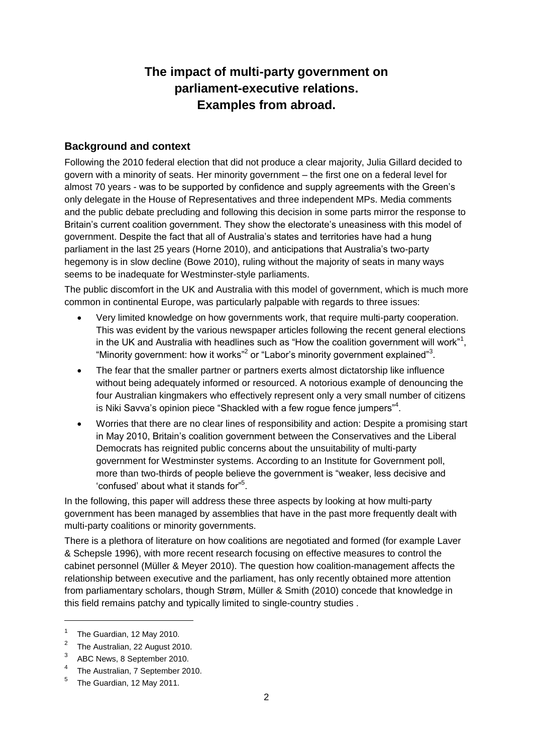# **The impact of multi-party government on parliament-executive relations. Examples from abroad.**

## **Background and context**

Following the 2010 federal election that did not produce a clear majority, Julia Gillard decided to govern with a minority of seats. Her minority government – the first one on a federal level for almost 70 years - was to be supported by confidence and supply agreements with the Green"s only delegate in the House of Representatives and three independent MPs. Media comments and the public debate precluding and following this decision in some parts mirror the response to Britain's current coalition government. They show the electorate's uneasiness with this model of government. Despite the fact that all of Australia"s states and territories have had a hung parliament in the last 25 years (Horne 2010), and anticipations that Australia"s two-party hegemony is in slow decline (Bowe 2010), ruling without the majority of seats in many ways seems to be inadequate for Westminster-style parliaments.

The public discomfort in the UK and Australia with this model of government, which is much more common in continental Europe, was particularly palpable with regards to three issues:

- Very limited knowledge on how governments work, that require multi-party cooperation. This was evident by the various newspaper articles following the recent general elections in the UK and Australia with headlines such as "How the coalition government will work"<sup>1</sup>, "Minority government: how it works" <sup>2</sup> or "Labor's minority government explained"<sup>3</sup>.
- The fear that the smaller partner or partners exerts almost dictatorship like influence without being adequately informed or resourced. A notorious example of denouncing the four Australian kingmakers who effectively represent only a very small number of citizens is Niki Savva's opinion piece "Shackled with a few rogue fence jumpers"<sup>4</sup>.
- Worries that there are no clear lines of responsibility and action: Despite a promising start in May 2010, Britain"s coalition government between the Conservatives and the Liberal Democrats has reignited public concerns about the unsuitability of multi-party government for Westminster systems. According to an Institute for Government poll, more than two-thirds of people believe the government is "weaker, less decisive and 'confused' about what it stands for"<sup>5</sup>.

In the following, this paper will address these three aspects by looking at how multi-party government has been managed by assemblies that have in the past more frequently dealt with multi-party coalitions or minority governments.

There is a plethora of literature on how coalitions are negotiated and formed (for example Laver & Schepsle 1996), with more recent research focusing on effective measures to control the cabinet personnel (Müller & Meyer 2010). The question how coalition-management affects the relationship between executive and the parliament, has only recently obtained more attention from parliamentary scholars, though Strøm, Müller & Smith (2010) concede that knowledge in this field remains patchy and typically limited to single-country studies .

1

 $1$  The Guardian, 12 May 2010.

 $2^2$  The Australian, 22 August 2010.

<sup>3</sup> ABC News, 8 September 2010.

<sup>&</sup>lt;sup>4</sup> The Australian, 7 September 2010.

 $5$  The Guardian, 12 May 2011.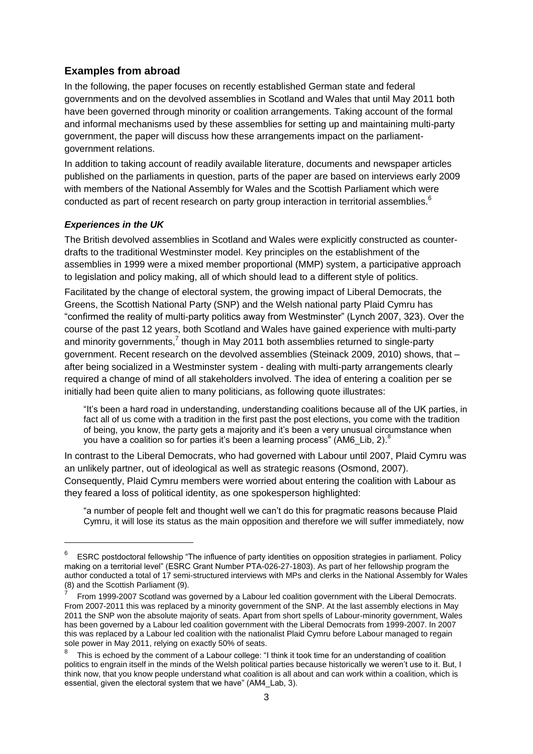## **Examples from abroad**

In the following, the paper focuses on recently established German state and federal governments and on the devolved assemblies in Scotland and Wales that until May 2011 both have been governed through minority or coalition arrangements. Taking account of the formal and informal mechanisms used by these assemblies for setting up and maintaining multi-party government, the paper will discuss how these arrangements impact on the parliamentgovernment relations.

In addition to taking account of readily available literature, documents and newspaper articles published on the parliaments in question, parts of the paper are based on interviews early 2009 with members of the National Assembly for Wales and the Scottish Parliament which were conducted as part of recent research on party group interaction in territorial assemblies. $6\degree$ 

#### *Experiences in the UK*

1

The British devolved assemblies in Scotland and Wales were explicitly constructed as counterdrafts to the traditional Westminster model. Key principles on the establishment of the assemblies in 1999 were a mixed member proportional (MMP) system, a participative approach to legislation and policy making, all of which should lead to a different style of politics.

Facilitated by the change of electoral system, the growing impact of Liberal Democrats, the Greens, the Scottish National Party (SNP) and the Welsh national party Plaid Cymru has "confirmed the reality of multi-party politics away from Westminster" (Lynch 2007, 323). Over the course of the past 12 years, both Scotland and Wales have gained experience with multi-party and minority governments, $7$  though in May 2011 both assemblies returned to single-party government. Recent research on the devolved assemblies (Steinack 2009, 2010) shows, that – after being socialized in a Westminster system - dealing with multi-party arrangements clearly required a change of mind of all stakeholders involved. The idea of entering a coalition per se initially had been quite alien to many politicians, as following quote illustrates:

"It"s been a hard road in understanding, understanding coalitions because all of the UK parties, in fact all of us come with a tradition in the first past the post elections, you come with the tradition of being, you know, the party gets a majority and it"s been a very unusual circumstance when you have a coalition so for parties it's been a learning process" (AM6\_Lib, 2).<sup>8</sup>

In contrast to the Liberal Democrats, who had governed with Labour until 2007, Plaid Cymru was an unlikely partner, out of ideological as well as strategic reasons (Osmond, 2007). Consequently, Plaid Cymru members were worried about entering the coalition with Labour as they feared a loss of political identity, as one spokesperson highlighted:

"a number of people felt and thought well we can"t do this for pragmatic reasons because Plaid Cymru, it will lose its status as the main opposition and therefore we will suffer immediately, now

<sup>6</sup> ESRC postdoctoral fellowship "The influence of party identities on opposition strategies in parliament. Policy making on a territorial level" (ESRC Grant Number PTA-026-27-1803). As part of her fellowship program the author conducted a total of 17 semi-structured interviews with MPs and clerks in the National Assembly for Wales (8) and the Scottish Parliament (9).

<sup>7</sup> From 1999-2007 Scotland was governed by a Labour led coalition government with the Liberal Democrats. From 2007-2011 this was replaced by a minority government of the SNP. At the last assembly elections in May 2011 the SNP won the absolute majority of seats. Apart from short spells of Labour-minority government, Wales has been governed by a Labour led coalition government with the Liberal Democrats from 1999-2007. In 2007 this was replaced by a Labour led coalition with the nationalist Plaid Cymru before Labour managed to regain sole power in May 2011, relying on exactly 50% of seats.

<sup>8</sup> This is echoed by the comment of a Labour college: "I think it took time for an understanding of coalition politics to engrain itself in the minds of the Welsh political parties because historically we weren"t use to it. But, I think now, that you know people understand what coalition is all about and can work within a coalition, which is essential, given the electoral system that we have" (AM4\_Lab, 3).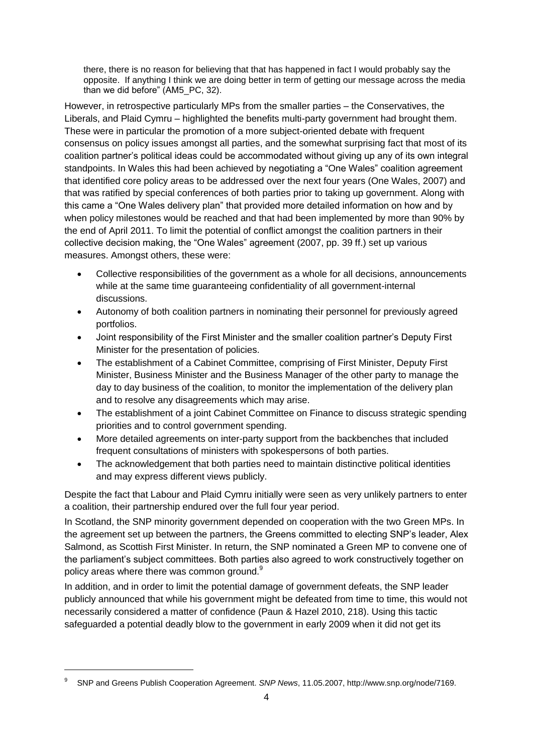there, there is no reason for believing that that has happened in fact I would probably say the opposite. If anything I think we are doing better in term of getting our message across the media than we did before" (AM5\_PC, 32).

However, in retrospective particularly MPs from the smaller parties – the Conservatives, the Liberals, and Plaid Cymru – highlighted the benefits multi-party government had brought them. These were in particular the promotion of a more subject-oriented debate with frequent consensus on policy issues amongst all parties, and the somewhat surprising fact that most of its coalition partner"s political ideas could be accommodated without giving up any of its own integral standpoints. In Wales this had been achieved by negotiating a "One Wales" coalition agreement that identified core policy areas to be addressed over the next four years (One Wales, 2007) and that was ratified by special conferences of both parties prior to taking up government. Along with this came a "One Wales delivery plan" that provided more detailed information on how and by when policy milestones would be reached and that had been implemented by more than 90% by the end of April 2011. To limit the potential of conflict amongst the coalition partners in their collective decision making, the "One Wales" agreement (2007, pp. 39 ff.) set up various measures. Amongst others, these were:

- Collective responsibilities of the government as a whole for all decisions, announcements while at the same time guaranteeing confidentiality of all government-internal discussions.
- Autonomy of both coalition partners in nominating their personnel for previously agreed portfolios.
- Joint responsibility of the First Minister and the smaller coalition partner"s Deputy First Minister for the presentation of policies.
- The establishment of a Cabinet Committee, comprising of First Minister, Deputy First Minister, Business Minister and the Business Manager of the other party to manage the day to day business of the coalition, to monitor the implementation of the delivery plan and to resolve any disagreements which may arise.
- The establishment of a joint Cabinet Committee on Finance to discuss strategic spending priorities and to control government spending.
- More detailed agreements on inter-party support from the backbenches that included frequent consultations of ministers with spokespersons of both parties.
- The acknowledgement that both parties need to maintain distinctive political identities and may express different views publicly.

Despite the fact that Labour and Plaid Cymru initially were seen as very unlikely partners to enter a coalition, their partnership endured over the full four year period.

In Scotland, the SNP minority government depended on cooperation with the two Green MPs. In the agreement set up between the partners, the Greens committed to electing SNP"s leader, Alex Salmond, as Scottish First Minister. In return, the SNP nominated a Green MP to convene one of the parliament"s subject committees. Both parties also agreed to work constructively together on policy areas where there was common ground.<sup>9</sup>

In addition, and in order to limit the potential damage of government defeats, the SNP leader publicly announced that while his government might be defeated from time to time, this would not necessarily considered a matter of confidence (Paun & Hazel 2010, 218). Using this tactic safeguarded a potential deadly blow to the government in early 2009 when it did not get its

1

<sup>9</sup> SNP and Greens Publish Cooperation Agreement. *SNP News*, 11.05.2007, http://www.snp.org/node/7169.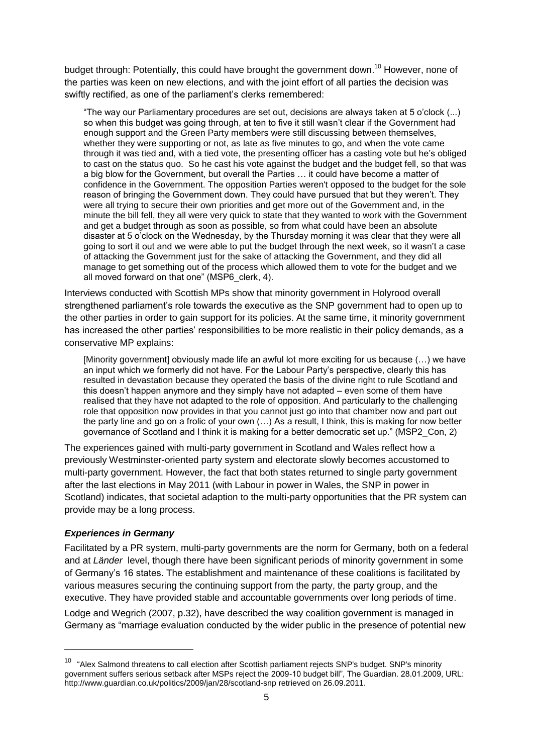budget through: Potentially, this could have brought the government down.<sup>10</sup> However, none of the parties was keen on new elections, and with the joint effort of all parties the decision was swiftly rectified, as one of the parliament's clerks remembered:

"The way our Parliamentary procedures are set out, decisions are always taken at 5 o"clock (...) so when this budget was going through, at ten to five it still wasn"t clear if the Government had enough support and the Green Party members were still discussing between themselves, whether they were supporting or not, as late as five minutes to go, and when the vote came through it was tied and, with a tied vote, the presenting officer has a casting vote but he"s obliged to cast on the status quo. So he cast his vote against the budget and the budget fell, so that was a big blow for the Government, but overall the Parties … it could have become a matter of confidence in the Government. The opposition Parties weren't opposed to the budget for the sole reason of bringing the Government down. They could have pursued that but they weren"t. They were all trying to secure their own priorities and get more out of the Government and, in the minute the bill fell, they all were very quick to state that they wanted to work with the Government and get a budget through as soon as possible, so from what could have been an absolute disaster at 5 o"clock on the Wednesday, by the Thursday morning it was clear that they were all going to sort it out and we were able to put the budget through the next week, so it wasn"t a case of attacking the Government just for the sake of attacking the Government, and they did all manage to get something out of the process which allowed them to vote for the budget and we all moved forward on that one" (MSP6\_clerk, 4).

Interviews conducted with Scottish MPs show that minority government in Holyrood overall strengthened parliament"s role towards the executive as the SNP government had to open up to the other parties in order to gain support for its policies. At the same time, it minority government has increased the other parties' responsibilities to be more realistic in their policy demands, as a conservative MP explains:

[Minority government] obviously made life an awful lot more exciting for us because (…) we have an input which we formerly did not have. For the Labour Party"s perspective, clearly this has resulted in devastation because they operated the basis of the divine right to rule Scotland and this doesn"t happen anymore and they simply have not adapted – even some of them have realised that they have not adapted to the role of opposition. And particularly to the challenging role that opposition now provides in that you cannot just go into that chamber now and part out the party line and go on a frolic of your own (…) As a result, I think, this is making for now better governance of Scotland and I think it is making for a better democratic set up." (MSP2\_Con, 2)

The experiences gained with multi-party government in Scotland and Wales reflect how a previously Westminster-oriented party system and electorate slowly becomes accustomed to multi-party government. However, the fact that both states returned to single party government after the last elections in May 2011 (with Labour in power in Wales, the SNP in power in Scotland) indicates, that societal adaption to the multi-party opportunities that the PR system can provide may be a long process.

#### *Experiences in Germany*

1

Facilitated by a PR system, multi-party governments are the norm for Germany, both on a federal and at *Länder* level, though there have been significant periods of minority government in some of Germany"s 16 states. The establishment and maintenance of these coalitions is facilitated by various measures securing the continuing support from the party, the party group, and the executive. They have provided stable and accountable governments over long periods of time.

Lodge and Wegrich (2007, p.32), have described the way coalition government is managed in Germany as "marriage evaluation conducted by the wider public in the presence of potential new

<sup>&</sup>lt;sup>10</sup> "Alex Salmond threatens to call election after Scottish parliament rejects SNP's budget. SNP's minority government suffers serious setback after MSPs reject the 2009-10 budget bill", The Guardian. 28.01.2009, URL: <http://www.guardian.co.uk/politics/2009/jan/28/scotland-snp> retrieved on 26.09.2011.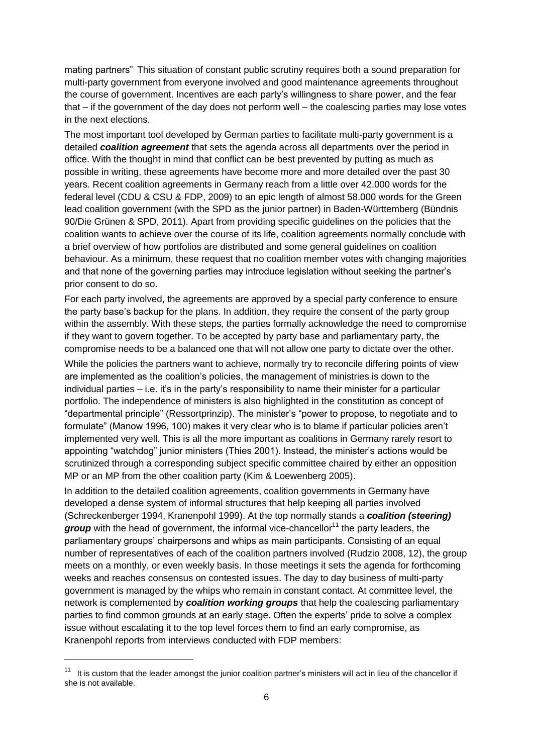mating partners". This situation of constant public scrutiny requires both a sound preparation for multi-party government from everyone involved and good maintenance agreements throughout the course of government. Incentives are each party"s willingness to share power, and the fear that – if the government of the day does not perform well – the coalescing parties may lose votes in the next elections.

The most important tool developed by German parties to facilitate multi-party government is a detailed *coalition agreement* that sets the agenda across all departments over the period in office. With the thought in mind that conflict can be best prevented by putting as much as possible in writing, these agreements have become more and more detailed over the past 30 years. Recent coalition agreements in Germany reach from a little over 42.000 words for the federal level (CDU & CSU & FDP, 2009) to an epic length of almost 58.000 words for the Green lead coalition government (with the SPD as the junior partner) in Baden-Württemberg (Bündnis 90/Die Grünen & SPD, 2011). Apart from providing specific guidelines on the policies that the coalition wants to achieve over the course of its life, coalition agreements normally conclude with a brief overview of how portfolios are distributed and some general guidelines on coalition behaviour. As a minimum, these request that no coalition member votes with changing majorities and that none of the governing parties may introduce legislation without seeking the partner"s prior consent to do so.

For each party involved, the agreements are approved by a special party conference to ensure the party base"s backup for the plans. In addition, they require the consent of the party group within the assembly. With these steps, the parties formally acknowledge the need to compromise if they want to govern together. To be accepted by party base and parliamentary party, the compromise needs to be a balanced one that will not allow one party to dictate over the other.

While the policies the partners want to achieve, normally try to reconcile differing points of view are implemented as the coalition"s policies, the management of ministries is down to the individual parties  $-$  i.e. it's in the party's responsibility to name their minister for a particular portfolio. The independence of ministers is also highlighted in the constitution as concept of "departmental principle" (Ressortprinzip). The minister"s "power to propose, to negotiate and to formulate" (Manow 1996, 100) makes it very clear who is to blame if particular policies aren"t implemented very well. This is all the more important as coalitions in Germany rarely resort to appointing "watchdog" junior ministers (Thies 2001). Instead, the minister"s actions would be scrutinized through a corresponding subject specific committee chaired by either an opposition MP or an MP from the other coalition party (Kim & Loewenberg 2005).

In addition to the detailed coalition agreements, coalition governments in Germany have developed a dense system of informal structures that help keeping all parties involved (Schreckenberger 1994, Kranenpohl 1999). At the top normally stands a *coalition (steering) group* with the head of government, the informal vice-chancellor<sup>11</sup> the party leaders, the parliamentary groups" chairpersons and whips as main participants. Consisting of an equal number of representatives of each of the coalition partners involved (Rudzio 2008, 12), the group meets on a monthly, or even weekly basis. In those meetings it sets the agenda for forthcoming weeks and reaches consensus on contested issues. The day to day business of multi-party government is managed by the whips who remain in constant contact. At committee level, the network is complemented by *coalition working groups* that help the coalescing parliamentary parties to find common grounds at an early stage. Often the experts" pride to solve a complex issue without escalating it to the top level forces them to find an early compromise, as Kranenpohl reports from interviews conducted with FDP members:

1

 $11$  It is custom that the leader amongst the junior coalition partner's ministers will act in lieu of the chancellor if she is not available.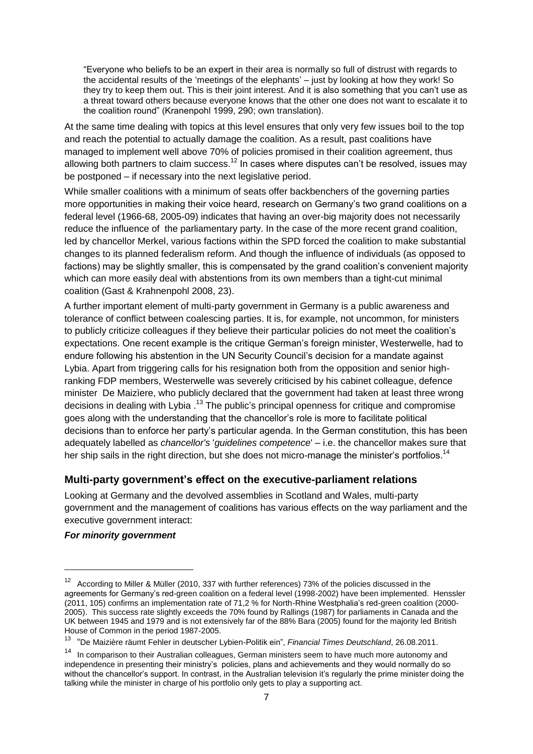"Everyone who beliefs to be an expert in their area is normally so full of distrust with regards to the accidental results of the "meetings of the elephants" – just by looking at how they work! So they try to keep them out. This is their joint interest. And it is also something that you can"t use as a threat toward others because everyone knows that the other one does not want to escalate it to the coalition round" (Kranenpohl 1999, 290; own translation).

At the same time dealing with topics at this level ensures that only very few issues boil to the top and reach the potential to actually damage the coalition. As a result, past coalitions have managed to implement well above 70% of policies promised in their coalition agreement, thus allowing both partners to claim success.<sup>12</sup> In cases where disputes can't be resolved, issues may be postponed – if necessary into the next legislative period.

While smaller coalitions with a minimum of seats offer backbenchers of the governing parties more opportunities in making their voice heard, research on Germany"s two grand coalitions on a federal level (1966-68, 2005-09) indicates that having an over-big majority does not necessarily reduce the influence of the parliamentary party. In the case of the more recent grand coalition, led by chancellor Merkel, various factions within the SPD forced the coalition to make substantial changes to its planned federalism reform. And though the influence of individuals (as opposed to factions) may be slightly smaller, this is compensated by the grand coalition"s convenient majority which can more easily deal with abstentions from its own members than a tight-cut minimal coalition (Gast & Krahnenpohl 2008, 23).

A further important element of multi-party government in Germany is a public awareness and tolerance of conflict between coalescing parties. It is, for example, not uncommon, for ministers to publicly criticize colleagues if they believe their particular policies do not meet the coalition"s expectations. One recent example is the critique German"s foreign minister, Westerwelle, had to endure following his abstention in the UN Security Council"s decision for a mandate against Lybia. Apart from triggering calls for his resignation both from the opposition and senior highranking FDP members, Westerwelle was severely criticised by his cabinet colleague, defence minister De Maizìere, who publicly declared that the government had taken at least three wrong decisions in dealing with Lybia .<sup>13</sup> The public's principal openness for critique and compromise goes along with the understanding that the chancellor"s role is more to facilitate political decisions than to enforce her party"s particular agenda. In the German constitution, this has been adequately labelled as *chancellor's* '*guidelines competence*' – i.e. the chancellor makes sure that her ship sails in the right direction, but she does not micro-manage the minister's portfolios.<sup>14</sup>

### **Multi-party government's effect on the executive-parliament relations**

Looking at Germany and the devolved assemblies in Scotland and Wales, multi-party government and the management of coalitions has various effects on the way parliament and the executive government interact:

#### *For minority government*

-

<sup>&</sup>lt;sup>12</sup> According to Miller & Müller (2010, 337 with further references) 73% of the policies discussed in the agreements for Germany"s red-green coalition on a federal level (1998-2002) have been implemented. Henssler (2011, 105) confirms an implementation rate of 71,2 % for North-Rhine Westphalia"s red-green coalition (2000- 2005). This success rate slightly exceeds the 70% found by Rallings (1987) for parliaments in Canada and the UK between 1945 and 1979 and is not extensively far of the 88% Bara (2005) found for the majority led British House of Common in the period 1987-2005.

<sup>13</sup> "De Maizière räumt Fehler in deutscher Lybien-Politik ein", *Financial Times Deutschland*, 26.08.2011.

<sup>&</sup>lt;sup>14</sup> In comparison to their Australian colleagues, German ministers seem to have much more autonomy and independence in presenting their ministry's policies, plans and achievements and they would normally do so without the chancellor's support. In contrast, in the Australian television it's regularly the prime minister doing the talking while the minister in charge of his portfolio only gets to play a supporting act.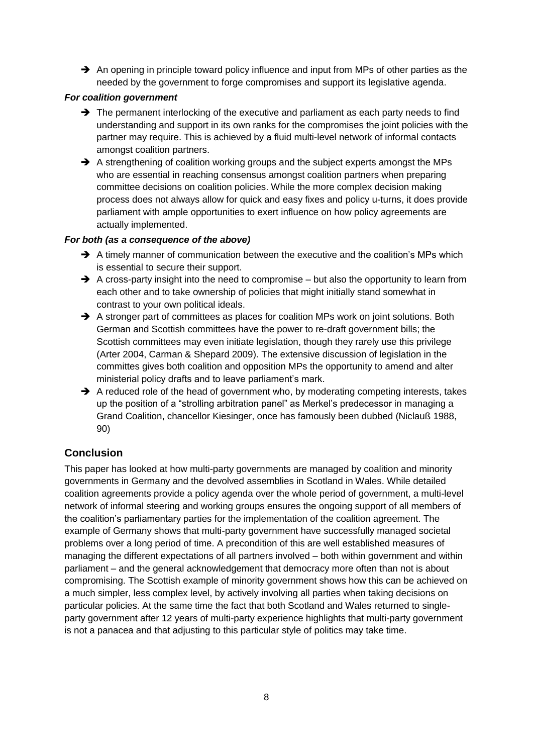$\rightarrow$  An opening in principle toward policy influence and input from MPs of other parties as the needed by the government to forge compromises and support its legislative agenda.

### *For coalition government*

- $\rightarrow$  The permanent interlocking of the executive and parliament as each party needs to find understanding and support in its own ranks for the compromises the joint policies with the partner may require. This is achieved by a fluid multi-level network of informal contacts amongst coalition partners.
- $\rightarrow$  A strengthening of coalition working groups and the subject experts amongst the MPs who are essential in reaching consensus amongst coalition partners when preparing committee decisions on coalition policies. While the more complex decision making process does not always allow for quick and easy fixes and policy u-turns, it does provide parliament with ample opportunities to exert influence on how policy agreements are actually implemented.

#### *For both (as a consequence of the above)*

- $\rightarrow$  A timely manner of communication between the executive and the coalition's MPs which is essential to secure their support.
- $\rightarrow$  A cross-party insight into the need to compromise but also the opportunity to learn from each other and to take ownership of policies that might initially stand somewhat in contrast to your own political ideals.
- A stronger part of committees as places for coalition MPs work on joint solutions. Both German and Scottish committees have the power to re-draft government bills; the Scottish committees may even initiate legislation, though they rarely use this privilege (Arter 2004, Carman & Shepard 2009). The extensive discussion of legislation in the committes gives both coalition and opposition MPs the opportunity to amend and alter ministerial policy drafts and to leave parliament's mark.
- $\rightarrow$  A reduced role of the head of government who, by moderating competing interests, takes up the position of a "strolling arbitration panel" as Merkel"s predecessor in managing a Grand Coalition, chancellor Kiesinger, once has famously been dubbed (Niclauß 1988, 90)

# **Conclusion**

This paper has looked at how multi-party governments are managed by coalition and minority governments in Germany and the devolved assemblies in Scotland in Wales. While detailed coalition agreements provide a policy agenda over the whole period of government, a multi-level network of informal steering and working groups ensures the ongoing support of all members of the coalition"s parliamentary parties for the implementation of the coalition agreement. The example of Germany shows that multi-party government have successfully managed societal problems over a long period of time. A precondition of this are well established measures of managing the different expectations of all partners involved – both within government and within parliament – and the general acknowledgement that democracy more often than not is about compromising. The Scottish example of minority government shows how this can be achieved on a much simpler, less complex level, by actively involving all parties when taking decisions on particular policies. At the same time the fact that both Scotland and Wales returned to singleparty government after 12 years of multi-party experience highlights that multi-party government is not a panacea and that adjusting to this particular style of politics may take time.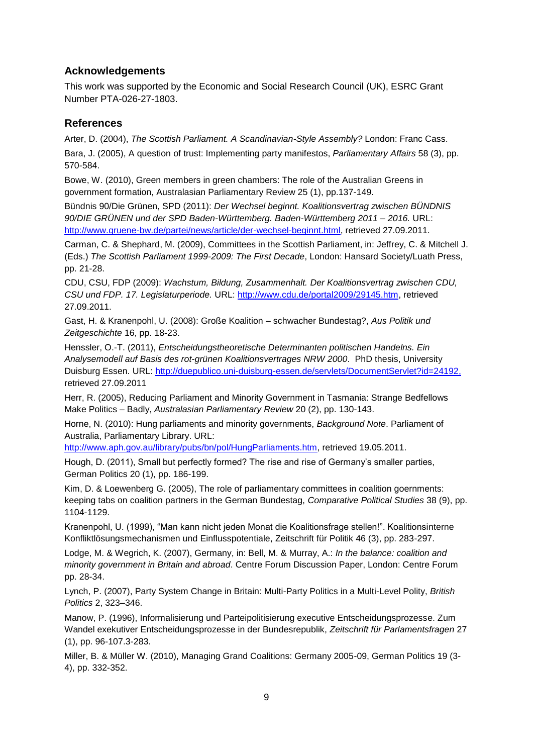# **Acknowledgements**

This work was supported by the Economic and Social Research Council (UK), ESRC Grant Number PTA-026-27-1803.

## **References**

Arter, D. (2004), *The Scottish Parliament. A Scandinavian-Style Assembly?* London: Franc Cass. Bara, J. (2005), A question of trust: Implementing party manifestos, *Parliamentary Affairs* 58 (3), pp. 570-584.

Bowe, W. (2010), Green members in green chambers: The role of the Australian Greens in government formation, Australasian Parliamentary Review 25 (1), pp.137-149.

Bündnis 90/Die Grünen, SPD (2011): *Der Wechsel beginnt. Koalitionsvertrag zwischen BÜNDNIS 90/DIE GRÜNEN und der SPD Baden-Württemberg. Baden-Württemberg 2011 – 2016.* URL: [http://www.gruene-bw.de/partei/news/article/der-wechsel-beginnt.html,](http://www.gruene-bw.de/partei/news/article/der-wechsel-beginnt.html) retrieved 27.09.2011.

Carman, C. & Shephard, M. (2009), Committees in the Scottish Parliament, in: Jeffrey, C. & Mitchell J. (Eds.) *The Scottish Parliament 1999-2009: The First Decade*, London: Hansard Society/Luath Press, pp. 21-28.

CDU, CSU, FDP (2009): *Wachstum, Bildung, Zusammenhalt. Der Koalitionsvertrag zwischen CDU, CSU und FDP. 17. Legislaturperiode.* URL: [http://www.cdu.de/portal2009/29145.htm,](http://www.cdu.de/portal2009/29145.htm) retrieved 27.09.2011.

Gast, H. & Kranenpohl, U. (2008): Große Koalition – schwacher Bundestag?, *Aus Politik und Zeitgeschichte* 16, pp. 18-23.

Henssler, O.-T. (2011), *Entscheidungstheoretische Determinanten politischen Handelns. Ein Analysemodell auf Basis des rot-grünen Koalitionsvertrages NRW 2000*. PhD thesis, University Duisburg Essen. URL: [http://duepublico.uni-duisburg-essen.de/servlets/DocumentServlet?id=24192,](http://duepublico.uni-duisburg-essen.de/servlets/DocumentServlet?id=24192) retrieved 27.09.2011

Herr, R. (2005), Reducing Parliament and Minority Government in Tasmania: Strange Bedfellows Make Politics – Badly, *Australasian Parliamentary Review* 20 (2), pp. 130-143.

Horne, N. (2010): Hung parliaments and minority governments, *Background Note*. Parliament of Australia, Parliamentary Library. URL:

[http://www.aph.gov.au/library/pubs/bn/pol/HungParliaments.htm,](http://www.aph.gov.au/library/pubs/bn/pol/HungParliaments.htm) retrieved 19.05.2011.

Hough, D. (2011), Small but perfectly formed? The rise and rise of Germany"s smaller parties, German Politics 20 (1), pp. 186-199.

Kim, D. & Loewenberg G. (2005), The role of parliamentary committees in coalition goernments: keeping tabs on coalition partners in the German Bundestag, *Comparative Political Studies* 38 (9), pp. 1104-1129.

Kranenpohl, U. (1999), "Man kann nicht jeden Monat die Koalitionsfrage stellen!". Koalitionsinterne Konfliktlösungsmechanismen und Einflusspotentiale, Zeitschrift für Politik 46 (3), pp. 283-297.

Lodge, M. & Wegrich, K. (2007), Germany, in: Bell, M. & Murray, A.: *In the balance: coalition and minority government in Britain and abroad*. Centre Forum Discussion Paper, London: Centre Forum pp. 28-34.

Lynch, P. (2007), Party System Change in Britain: Multi-Party Politics in a Multi-Level Polity, *British Politics* 2, 323–346.

Manow, P. (1996), Informalisierung und Parteipolitisierung executive Entscheidungsprozesse. Zum Wandel exekutiver Entscheidungsprozesse in der Bundesrepublik, *Zeitschrift für Parlamentsfragen* 27 (1), pp. 96-107.3-283.

Miller, B. & Müller W. (2010), Managing Grand Coalitions: Germany 2005-09, German Politics 19 (3- 4), pp. 332-352.